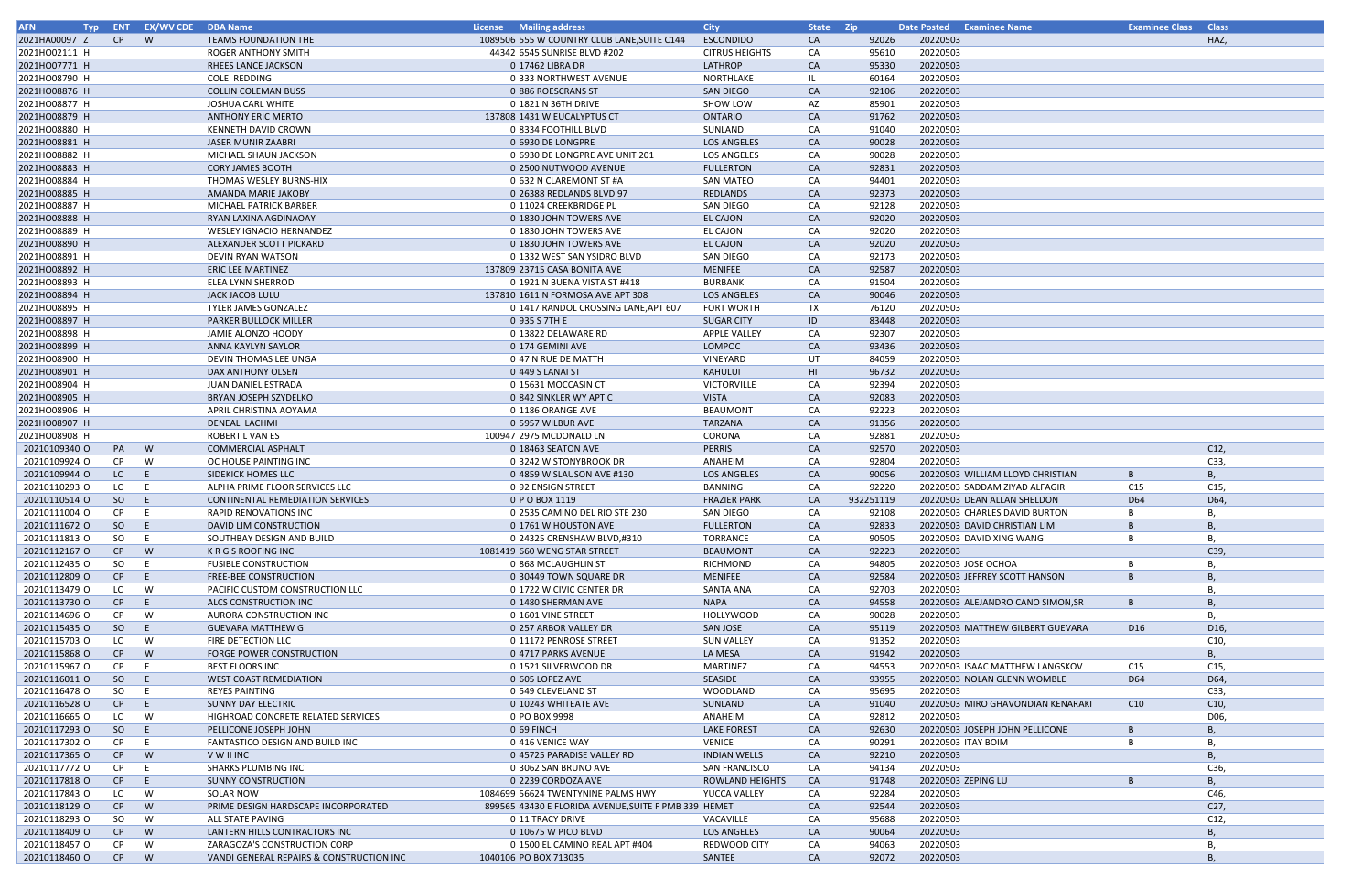| <b>AFN</b><br><b>Typ</b>       |               | ENT EX/WV CDE | <b>DBA Name</b>                                  | License Mailing address                              | <b>City</b>            | State Zip |                | Date Posted Examinee Name                    | <b>Examinee Class</b> | <b>Class</b> |
|--------------------------------|---------------|---------------|--------------------------------------------------|------------------------------------------------------|------------------------|-----------|----------------|----------------------------------------------|-----------------------|--------------|
| 2021HA00097 Z                  | CP            | <b>W</b>      | <b>TEAMS FOUNDATION THE</b>                      | 1089506 555 W COUNTRY CLUB LANE, SUITE C144          | <b>ESCONDIDO</b>       | <b>CA</b> | 92026          | 20220503                                     |                       | HAZ,         |
| 2021HO02111 H                  |               |               | ROGER ANTHONY SMITH                              | 44342 6545 SUNRISE BLVD #202                         | <b>CITRUS HEIGHTS</b>  | CA        | 95610          | 20220503                                     |                       |              |
| 2021HO07771 H                  |               |               | RHEES LANCE JACKSON                              | 0 17462 LIBRA DR                                     | LATHROP                | CA        | 95330          | 20220503                                     |                       |              |
| 2021HO08790 H                  |               |               | COLE REDDING                                     | 0 333 NORTHWEST AVENUE                               | NORTHLAKE              | ΙL        | 60164          | 20220503                                     |                       |              |
| 2021HO08876 H                  |               |               | <b>COLLIN COLEMAN BUSS</b>                       | 0 886 ROESCRANS ST                                   | SAN DIEGO              | CA        | 92106          | 20220503                                     |                       |              |
| 2021HO08877 H                  |               |               | JOSHUA CARL WHITE                                | 0 1821 N 36TH DRIVE                                  | <b>SHOW LOW</b>        | AZ        | 85901          | 20220503                                     |                       |              |
| 2021HO08879 H                  |               |               | ANTHONY ERIC MERTO                               | 137808 1431 W EUCALYPTUS CT                          | <b>ONTARIO</b>         | CA        | 91762          | 20220503                                     |                       |              |
| 2021HO08880 H                  |               |               | KENNETH DAVID CROWN                              | 0 8334 FOOTHILL BLVD                                 | SUNLAND                | CA        | 91040          | 20220503                                     |                       |              |
| 2021HO08881 H                  |               |               | <b>JASER MUNIR ZAABRI</b>                        | 0 6930 DE LONGPRE                                    | <b>LOS ANGELES</b>     | CA        | 90028          | 20220503                                     |                       |              |
| 2021HO08882 H                  |               |               | MICHAEL SHAUN JACKSON                            | 0 6930 DE LONGPRE AVE UNIT 201                       | <b>LOS ANGELES</b>     | CA        | 90028          | 20220503                                     |                       |              |
| 2021HO08883 H                  |               |               | <b>CORY JAMES BOOTH</b>                          | 0 2500 NUTWOOD AVENUE                                | <b>FULLERTON</b>       | CA        | 92831          | 20220503                                     |                       |              |
| 2021HO08884 H                  |               |               | THOMAS WESLEY BURNS-HIX                          | 0 632 N CLAREMONT ST #A                              | <b>SAN MATEO</b>       | CA        | 94401          | 20220503                                     |                       |              |
| 2021HO08885 H                  |               |               | AMANDA MARIE JAKOBY                              | 0 26388 REDLANDS BLVD 97                             | <b>REDLANDS</b>        | CA        | 92373          | 20220503                                     |                       |              |
| 2021HO08887 H                  |               |               | <b>MICHAEL PATRICK BARBER</b>                    | 0 11024 CREEKBRIDGE PL                               | SAN DIEGO              | CA        | 92128          | 20220503                                     |                       |              |
| 2021HO08888 H                  |               |               | RYAN LAXINA AGDINAOAY                            | 0 1830 JOHN TOWERS AVE                               | <b>EL CAJON</b>        | CA        | 92020          | 20220503                                     |                       |              |
| 2021HO08889 H                  |               |               | <b>WESLEY IGNACIO HERNANDEZ</b>                  | 0 1830 JOHN TOWERS AVE                               | <b>EL CAJON</b>        | CA        | 92020          | 20220503                                     |                       |              |
| 2021HO08890 H                  |               |               | ALEXANDER SCOTT PICKARD                          | 0 1830 JOHN TOWERS AVE                               | <b>EL CAJON</b>        | CA        | 92020          | 20220503                                     |                       |              |
| 2021HO08891 H                  |               |               | DEVIN RYAN WATSON                                | 0 1332 WEST SAN YSIDRO BLVD                          | SAN DIEGO              | CA        | 92173          | 20220503                                     |                       |              |
| 2021HO08892 H                  |               |               | <b>ERIC LEE MARTINEZ</b>                         | 137809 23715 CASA BONITA AVE                         | <b>MENIFEE</b>         | CA        | 92587          | 20220503                                     |                       |              |
| 2021HO08893 H                  |               |               | ELEA LYNN SHERROD                                | 0 1921 N BUENA VISTA ST #418                         | <b>BURBANK</b>         | CA        | 91504          | 20220503                                     |                       |              |
| 2021HO08894 H                  |               |               | JACK JACOB LULU                                  | 137810 1611 N FORMOSA AVE APT 308                    | <b>LOS ANGELES</b>     | CA        | 90046          | 20220503                                     |                       |              |
| 2021HO08895 H                  |               |               | <b>TYLER JAMES GONZALEZ</b>                      | 0 1417 RANDOL CROSSING LANE, APT 607                 | <b>FORT WORTH</b>      | TX        | 76120          | 20220503                                     |                       |              |
| 2021HO08897 H                  |               |               | <b>PARKER BULLOCK MILLER</b>                     | 0 935 S 7TH E                                        | <b>SUGAR CITY</b>      | ID        | 83448          | 20220503                                     |                       |              |
| 2021HO08898 H                  |               |               | JAMIE ALONZO HOODY                               | 0 13822 DELAWARE RD                                  | <b>APPLE VALLEY</b>    | CA        | 92307          | 20220503                                     |                       |              |
| 2021HO08899 H                  |               |               | ANNA KAYLYN SAYLOR                               | 0 174 GEMINI AVE                                     | LOMPOC                 | CA        | 93436          | 20220503                                     |                       |              |
| 2021HO08900 H                  |               |               | DEVIN THOMAS LEE UNGA                            | 0 47 N RUE DE MATTH                                  | VINEYARD               | UT        | 84059          | 20220503                                     |                       |              |
| 2021HO08901 H                  |               |               | DAX ANTHONY OLSEN                                | 0 449 S LANAI ST                                     | KAHULUI                | HI        | 96732          | 20220503                                     |                       |              |
| 2021HO08904 H                  |               |               | JUAN DANIEL ESTRADA                              | 0 15631 MOCCASIN CT                                  | <b>VICTORVILLE</b>     | CA        | 92394          | 20220503                                     |                       |              |
| 2021HO08905 H                  |               |               | BRYAN JOSEPH SZYDELKO                            | 0 842 SINKLER WY APT C                               | <b>VISTA</b>           | CA        | 92083          | 20220503                                     |                       |              |
| 2021HO08906 H                  |               |               | APRIL CHRISTINA AOYAMA                           | 0 1186 ORANGE AVE                                    | <b>BEAUMONT</b>        | CA        | 92223          | 20220503                                     |                       |              |
| 2021HO08907 H                  |               |               | DENEAL LACHMI                                    | 0 5957 WILBUR AVE                                    | <b>TARZANA</b>         | CA        | 91356          | 20220503                                     |                       |              |
| 2021HO08908 H                  |               |               | ROBERT L VAN ES                                  | 100947 2975 MCDONALD LN                              | CORONA                 | CA        | 92881          | 20220503                                     |                       |              |
| 20210109340 O                  | PA            | W             | <b>COMMERCIAL ASPHALT</b>                        | 0 18463 SEATON AVE                                   | <b>PERRIS</b>          | CA        | 92570          | 20220503                                     |                       | C12,         |
| 20210109924 O                  | CP.           | W             | OC HOUSE PAINTING INC                            | 0 3242 W STONYBROOK DR                               | ANAHEIM                | CA        | 92804          | 20220503                                     |                       | C33,         |
| 20210109944 O                  | LC            | E.            | SIDEKICK HOMES LLC                               | 0 4859 W SLAUSON AVE #130                            | <b>LOS ANGELES</b>     | CA        | 90056          | 20220503 WILLIAM LLOYD CHRISTIAN             | B                     | <b>B</b> ,   |
| 20210110293 O                  | LC            | E             | ALPHA PRIME FLOOR SERVICES LLC                   | 0 92 ENSIGN STREET                                   | <b>BANNING</b>         | CA        | 92220          | 20220503 SADDAM ZIYAD ALFAGIR                | C15                   | C15,         |
| 20210110514 O                  | SO            | E.            | <b>CONTINENTAL REMEDIATION SERVICES</b>          | 0 P O BOX 1119                                       | <b>FRAZIER PARK</b>    | CA        | 932251119      | 20220503 DEAN ALLAN SHELDON                  | D64                   | D64,         |
| 20210111004 O                  | CP.           |               | <b>RAPID RENOVATIONS INC</b>                     | 0 2535 CAMINO DEL RIO STE 230                        | SAN DIEGO              | CA        | 92108          | 20220503 CHARLES DAVID BURTON                |                       | В,           |
| 20210111672 0                  | SO            | E             | DAVID LIM CONSTRUCTION                           | 0 1761 W HOUSTON AVE                                 | <b>FULLERTON</b>       | CA        | 92833          | 20220503 DAVID CHRISTIAN LIM                 | $\overline{B}$        | B            |
| 20210111813 O                  | SO            | E.            | SOUTHBAY DESIGN AND BUILD                        | 0 24325 CRENSHAW BLVD.#310                           | TORRANCE               | CA        | 90505          | 20220503 DAVID XING WANG                     |                       | В,           |
| 20210112167 O                  | CP            | W             | K R G S ROOFING INC                              | 1081419 660 WENG STAR STREET                         | <b>BEAUMONT</b>        | CA        | 92223          | 20220503                                     |                       | C39,         |
| 20210112435 O                  | <sub>SO</sub> | E.            | <b>FUSIBLE CONSTRUCTION</b>                      | 0 868 MCLAUGHLIN ST                                  | <b>RICHMOND</b>        | CA        | 94805          | 20220503 JOSE OCHOA                          | <b>B</b>              | В,           |
| 20210112809 O                  | CP            | E.            | <b>FREE-BEE CONSTRUCTION</b>                     | 0 30449 TOWN SQUARE DR                               | <b>MENIFEE</b>         | CA        | 92584          | 20220503 JEFFREY SCOTT HANSON                | $\overline{B}$        | B            |
| 20210113479 O                  | LC            |               | PACIFIC CUSTOM CONSTRUCTION LLC                  | 0 1722 W CIVIC CENTER DR                             | SANTA ANA              | CA        | 92703          | 20220503                                     |                       | B            |
| 20210113730 O                  | CP            | W<br>E        |                                                  |                                                      | <b>NAPA</b>            | CA        |                |                                              | $\overline{B}$        | B            |
|                                |               |               | ALCS CONSTRUCTION INC<br>AURORA CONSTRUCTION INC | 0 1480 SHERMAN AVE                                   |                        |           | 94558          | 20220503 ALEJANDRO CANO SIMON, SR            |                       |              |
| 20210114696 O                  | CP            | W<br>E.       |                                                  | 0 1601 VINE STREET                                   | <b>HOLLYWOOD</b>       | CA<br>CA  | 90028          | 20220503<br>20220503 MATTHEW GILBERT GUEVARA |                       | В,<br>D16,   |
| 20210115435 O<br>20210115703 O | SO            |               | <b>GUEVARA MATTHEW G</b><br>FIRE DETECTION LLC   | 0 257 ARBOR VALLEY DR                                | <b>SAN JOSE</b>        |           | 95119<br>91352 | 20220503                                     | D16                   |              |
|                                | LC            | W             |                                                  | 0 11172 PENROSE STREET                               | <b>SUN VALLEY</b>      | CA        |                |                                              |                       | C10,         |
| 20210115868 O                  | CP<br>CP      | W             | <b>FORGE POWER CONSTRUCTION</b>                  | 0 4717 PARKS AVENUE                                  | LA MESA                | CA<br>CA  | 91942          | 20220503                                     |                       | Β,           |
| 20210115967 O                  |               | E             | <b>BEST FLOORS INC</b>                           | 0 1521 SILVERWOOD DR                                 | MARTINEZ               |           | 94553          | 20220503 ISAAC MATTHEW LANGSKOV              | C15                   | C15,         |
| 20210116011 O                  | SO            | E.            | <b>WEST COAST REMEDIATION</b>                    | 0 605 LOPEZ AVE                                      | SEASIDE                | CA        | 93955          | 20220503 NOLAN GLENN WOMBLE                  | D64                   | D64,         |
| 20210116478 O                  | SO.           | E.            | <b>REYES PAINTING</b>                            | 0 549 CLEVELAND ST                                   | WOODLAND               | CA        | 95695          | 20220503                                     |                       | C33,         |
| 20210116528 O                  | CP            | E.            | <b>SUNNY DAY ELECTRIC</b>                        | 0 10243 WHITEATE AVE                                 | SUNLAND                | CA        | 91040          | 20220503 MIRO GHAVONDIAN KENARAKI            | C10                   | C10,         |
| 20210116665 O                  | LC            | W             | HIGHROAD CONCRETE RELATED SERVICES               | 0 PO BOX 9998                                        | ANAHEIM                | CA        | 92812          | 20220503                                     |                       | D06,         |
| 20210117293 O                  | SO            | E.            | PELLICONE JOSEPH JOHN                            | 0 69 FINCH                                           | <b>LAKE FOREST</b>     | CA        | 92630          | 20220503 JOSEPH JOHN PELLICONE               | $\overline{B}$        | B            |
| 20210117302 O                  | CP            | E.            | FANTASTICO DESIGN AND BUILD INC                  | 0 416 VENICE WAY                                     | <b>VENICE</b>          | CA        | 90291          | 20220503 ITAY BOIM                           |                       | В,           |
| 20210117365 O                  | CP            | W             | <b>VWIIINC</b>                                   | 0 45725 PARADISE VALLEY RD                           | <b>INDIAN WELLS</b>    | CA        | 92210          | 20220503                                     |                       | B            |
| 20210117772 0                  | CP.           | E             | <b>SHARKS PLUMBING INC</b>                       | 0 3062 SAN BRUNO AVE                                 | <b>SAN FRANCISCO</b>   | CA        | 94134          | 20220503                                     |                       | C36,         |
| 20210117818 O                  | CP            | E             | <b>SUNNY CONSTRUCTION</b>                        | 0 2239 CORDOZA AVE                                   | <b>ROWLAND HEIGHTS</b> | <b>CA</b> | 91748          | 20220503 ZEPING LU                           | <b>B</b>              | В,           |
| 20210117843 O                  | LC            | W             | SOLAR NOW                                        | 1084699 56624 TWENTYNINE PALMS HWY                   | YUCCA VALLEY           | CA        | 92284          | 20220503                                     |                       | C46,         |
| 20210118129 O                  | CP            | W             | PRIME DESIGN HARDSCAPE INCORPORATED              | 899565 43430 E FLORIDA AVENUE, SUITE F PMB 339 HEMET |                        | CA        | 92544          | 20220503                                     |                       | C27,         |
| 20210118293 O                  | SO.           | W             | ALL STATE PAVING                                 | 0 11 TRACY DRIVE                                     | VACAVILLE              | CA        | 95688          | 20220503                                     |                       | C12,         |
| 20210118409 O                  | CP            | W             | LANTERN HILLS CONTRACTORS INC                    | 0 10675 W PICO BLVD                                  | <b>LOS ANGELES</b>     | CA        | 90064          | 20220503                                     |                       | B,           |
| 20210118457 O                  | <b>CP</b>     | W             | ZARAGOZA'S CONSTRUCTION CORP                     | 0 1500 EL CAMINO REAL APT #404                       | REDWOOD CITY           | CA        | 94063          | 20220503                                     |                       | В,           |
| 20210118460 O                  | CP            | W             | VANDI GENERAL REPAIRS & CONSTRUCTION INC         | 1040106 PO BOX 713035                                | SANTEE                 | CA        | 92072          | 20220503                                     |                       | B            |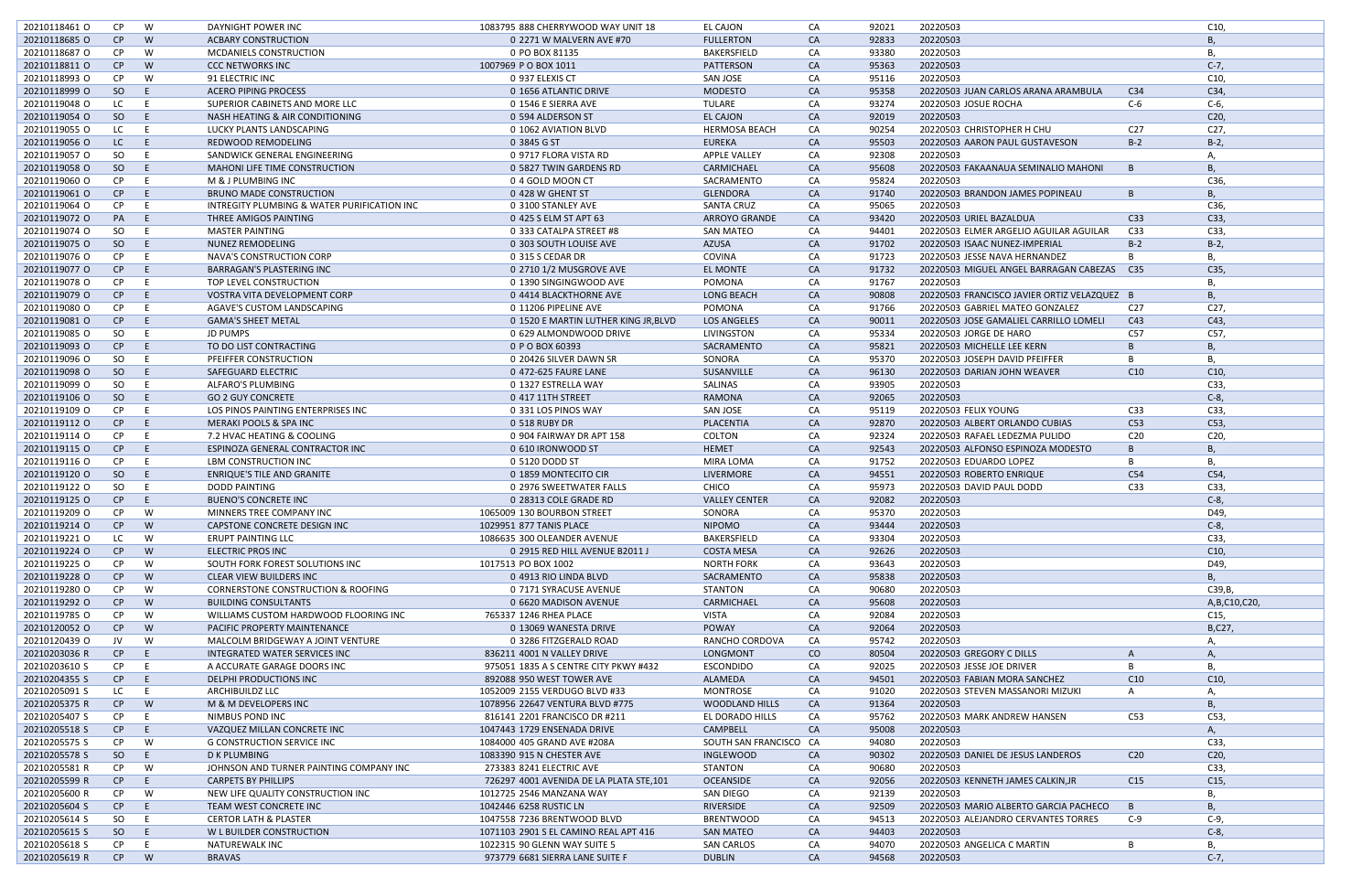| 20210118461 0 | CP.           | W  | DAYNIGHT POWER INC                          | 1083795 888 CHERRYWOOD WAY UNIT 18      | EL CAJON               | CA            | 92021 | 20220503                                    |                 | C10,            |
|---------------|---------------|----|---------------------------------------------|-----------------------------------------|------------------------|---------------|-------|---------------------------------------------|-----------------|-----------------|
| 20210118685 O | CP            | W  | <b>ACBARY CONSTRUCTION</b>                  | 0 2271 W MALVERN AVE #70                | <b>FULLERTON</b>       | <b>CA</b>     | 92833 | 20220503                                    |                 | B               |
| 20210118687 O | CP            | W  | <b>MCDANIELS CONSTRUCTION</b>               | 0 PO BOX 81135                          | <b>BAKERSFIELD</b>     | CA            | 93380 | 20220503                                    |                 | В,              |
| 20210118811 0 | CP            | W  | <b>CCC NETWORKS INC</b>                     | 1007969 PO BOX 1011                     | PATTERSON              | <b>CA</b>     | 95363 | 20220503                                    |                 | $C-7,$          |
| 20210118993 O | <b>CP</b>     | W  | 91 ELECTRIC INC                             | 0 937 ELEXIS CT                         | SAN JOSE               | CA            | 95116 | 20220503                                    |                 | C10,            |
| 20210118999 O | SO            | -E | <b>ACERO PIPING PROCESS</b>                 | 0 1656 ATLANTIC DRIVE                   | <b>MODESTO</b>         | <b>CA</b>     | 95358 | 20220503 JUAN CARLOS ARANA ARAMBULA         | C34             | C34,            |
| 20210119048 O | LC            |    | SUPERIOR CABINETS AND MORE LLC              | 0 1546 E SIERRA AVE                     | TULARE                 | CA            | 93274 | 20220503 JOSUE ROCHA                        | $C-6$           | $C-6$ ,         |
| 20210119054 O |               | -E |                                             |                                         |                        | CA            | 92019 | 20220503                                    |                 |                 |
|               | SO            |    | NASH HEATING & AIR CONDITIONING             | 0 594 ALDERSON ST                       | EL CAJON               |               |       |                                             |                 | C <sub>20</sub> |
| 20210119055 O | LC            | E  | LUCKY PLANTS LANDSCAPING                    | 0 1062 AVIATION BLVD                    | <b>HERMOSA BEACH</b>   | CA            | 90254 | 20220503 CHRISTOPHER H CHU                  | C <sub>27</sub> | C27,            |
| 20210119056 O | LC            | -E | REDWOOD REMODELING                          | 0 3845 G ST                             | <b>EUREKA</b>          | <b>CA</b>     | 95503 | 20220503 AARON PAUL GUSTAVESON              | $B-2$           | $B-2$ ,         |
| 20210119057 O | <b>SO</b>     | E  | SANDWICK GENERAL ENGINEERING                | 0 9717 FLORA VISTA RD                   | <b>APPLE VALLEY</b>    | CA            | 92308 | 20220503                                    |                 | Α,              |
| 20210119058 O | <sub>SO</sub> | -E | <b>MAHONI LIFE TIME CONSTRUCTION</b>        | 0 5827 TWIN GARDENS RD                  | CARMICHAEL             | <b>CA</b>     | 95608 | 20220503 FAKAANAUA SEMINALIO MAHONI         |                 | <b>B</b> ,      |
| 20210119060 O | CP            | E  | M & J PLUMBING INC                          | 0 4 GOLD MOON CT                        | SACRAMENTO             | CA            | 95824 | 20220503                                    |                 | C36,            |
| 20210119061 O | CP            | E. | <b>BRUNO MADE CONSTRUCTION</b>              | 0 428 W GHENT ST                        | <b>GLENDORA</b>        | <b>CA</b>     | 91740 | 20220503 BRANDON JAMES POPINEAU             | B               | <b>B</b> ,      |
| 20210119064 O | <b>CP</b>     | E. | INTREGITY PLUMBING & WATER PURIFICATION INC | 0 3100 STANLEY AVE                      | <b>SANTA CRUZ</b>      | CA            | 95065 | 20220503                                    |                 | C36,            |
| 20210119072 O | PA            | E. | THREE AMIGOS PAINTING                       | 0 425 S ELM ST APT 63                   | <b>ARROYO GRANDE</b>   | <b>CA</b>     | 93420 | 20220503 URIEL BAZALDUA                     | C <sub>33</sub> | C33,            |
| 20210119074 O | SO.           | E  | <b>MASTER PAINTING</b>                      | 0 333 CATALPA STREET #8                 | <b>SAN MATEO</b>       | CA            | 94401 | 20220503 ELMER ARGELIO AGUILAR AGUILAR      | C <sub>33</sub> | C33,            |
| 20210119075 O | SO            | -E | NUNEZ REMODELING                            | 0 303 SOUTH LOUISE AVE                  | AZUSA                  | CA            | 91702 | 20220503 ISAAC NUNEZ-IMPERIAL               | $B-2$           | $B-2$ ,         |
| 20210119076 O | <b>CP</b>     |    | NAVA'S CONSTRUCTION CORP                    | 0 315 S CEDAR DR                        | COVINA                 | CA            | 91723 | 20220503 JESSE NAVA HERNANDEZ               |                 | В,              |
| 20210119077 O | CP            | -F | <b>BARRAGAN'S PLASTERING INC</b>            | 0 2710 1/2 MUSGROVE AVE                 | <b>EL MONTE</b>        | CA            | 91732 | 20220503 MIGUEL ANGEL BARRAGAN CABEZAS C35  |                 | C35,            |
| 20210119078 O | CP            | E  | TOP LEVEL CONSTRUCTION                      | 0 1390 SINGINGWOOD AVE                  | POMONA                 | CA            | 91767 | 20220503                                    |                 | В,              |
| 20210119079 O | CP            | -E | VOSTRA VITA DEVELOPMENT CORP                | 0 4414 BLACKTHORNE AVE                  | <b>LONG BEACH</b>      | <b>CA</b>     | 90808 | 20220503 FRANCISCO JAVIER ORTIZ VELAZQUEZ B |                 | <b>B</b> ,      |
| 20210119080 O | CP            | E  | AGAVE'S CUSTOM LANDSCAPING                  | 0 11206 PIPELINE AVE                    | POMONA                 | CA            | 91766 | 20220503 GABRIEL MATEO GONZALEZ             | C <sub>27</sub> | C <sub>27</sub> |
| 20210119081 O | CP            | E. | <b>GAMA'S SHEET METAL</b>                   | 0 1520 E MARTIN LUTHER KING JR, BLVD    | <b>LOS ANGELES</b>     | <b>CA</b>     | 90011 | 20220503 JOSE GAMALIEL CARRILLO LOMELI      | C43             | C43,            |
| 20210119085 O | <b>SO</b>     | E  | <b>JD PUMPS</b>                             | 0 629 ALMONDWOOD DRIVE                  | LIVINGSTON             | CA            | 95334 | 20220503 JORGE DE HARO                      | C57             | C57,            |
|               | CP            | -E | TO DO LIST CONTRACTING                      | 0 P O BOX 60393                         |                        | <b>CA</b>     | 95821 |                                             |                 |                 |
| 20210119093 O |               |    |                                             |                                         | SACRAMENTO             |               |       | 20220503 MICHELLE LEE KERN                  |                 | <b>B</b> ,      |
| 20210119096 O | SO.           | E  | PFEIFFER CONSTRUCTION                       | 0 20426 SILVER DAWN SR                  | SONORA                 | CA            | 95370 | 20220503 JOSEPH DAVID PFEIFFER              |                 | В,              |
| 20210119098 O | SO            | -E | SAFEGUARD ELECTRIC                          | 0 472-625 FAURE LANE                    | SUSANVILLE             | CA            | 96130 | 20220503 DARIAN JOHN WEAVER                 | C10             | C10,            |
| 20210119099 O | <b>SO</b>     | -F | ALFARO'S PLUMBING                           | 0 1327 ESTRELLA WAY                     | SALINAS                | CA            | 93905 | 20220503                                    |                 | C33,            |
| 20210119106 O | SO            | -E | <b>GO 2 GUY CONCRETE</b>                    | 0 417 11TH STREET                       | <b>RAMONA</b>          | <b>CA</b>     | 92065 | 20220503                                    |                 | $C-8$ ,         |
| 20210119109 O | CP            | E  | LOS PINOS PAINTING ENTERPRISES INC          | 0 331 LOS PINOS WAY                     | <b>SAN JOSE</b>        | CA            | 95119 | 20220503 FELIX YOUNG                        | C <sub>33</sub> | C33,            |
| 20210119112 0 | CP            | -E | MERAKI POOLS & SPA INC                      | 0 518 RUBY DR                           | PLACENTIA              | CA            | 92870 | 20220503 ALBERT ORLANDO CUBIAS              | C53             | C53,            |
| 20210119114 O | CP            | E  | 7.2 HVAC HEATING & COOLING                  | 0 904 FAIRWAY DR APT 158                | COLTON                 | CA            | 92324 | 20220503 RAFAEL LEDEZMA PULIDO              | C <sub>20</sub> | C20,            |
| 20210119115 O | CP            | E. | ESPINOZA GENERAL CONTRACTOR INC             | 0 610 IRONWOOD ST                       | <b>HEMET</b>           | <b>CA</b>     | 92543 | 20220503 ALFONSO ESPINOZA MODESTO           | B               | <b>B</b> ,      |
| 20210119116 O | CP            | E  | LBM CONSTRUCTION INC                        | 0 5120 DODD ST                          | MIRA LOMA              | CA            | 91752 | 20220503 EDUARDO LOPEZ                      |                 | В,              |
| 20210119120 O | SO            | -E | <b>ENRIQUE'S TILE AND GRANITE</b>           | 0 1859 MONTECITO CIR                    | LIVERMORE              | CA            | 94551 | 20220503 ROBERTO ENRIQUE                    | C54             | C54,            |
| 20210119122 0 | SO.           | E  | <b>DODD PAINTING</b>                        | 0 2976 SWEETWATER FALLS                 | CHICO                  | CA            | 95973 | 20220503 DAVID PAUL DODD                    | C <sub>33</sub> | C33,            |
| 20210119125 O | CP            | -E | <b>BUENO'S CONCRETE INC</b>                 | 0 28313 COLE GRADE RD                   | <b>VALLEY CENTER</b>   | CA            | 92082 | 20220503                                    |                 | $C-8$           |
| 20210119209 O | <b>CP</b>     | W  | MINNERS TREE COMPANY INC                    | 1065009 130 BOURBON STREET              | SONORA                 | CA            | 95370 | 20220503                                    |                 | D49,            |
| 20210119214 O | CP            | W  | CAPSTONE CONCRETE DESIGN INC                | 1029951 877 TANIS PLACE                 | <b>NIPOMO</b>          | <b>CA</b>     | 93444 | 20220503                                    |                 | $C-8,$          |
| 20210119221 0 | LC            | W  | ERUPT PAINTING LLC                          | 1086635 300 OLEANDER AVENUE             | <b>BAKERSFIELD</b>     | CA            | 93304 | 20220503                                    |                 | C33,            |
| 20210119224 O | CP            | W  | <b>ELECTRIC PROS INC</b>                    | 0 2915 RED HILL AVENUE B2011 J          | <b>COSTA MESA</b>      | CA            | 92626 | 20220503                                    |                 | C10,            |
| 20210119225 O | CP            | W  | SOUTH FORK FOREST SOLUTIONS INC             | 1017513 PO BOX 1002                     | <b>NORTH FORK</b>      | CA            | 93643 | 20220503                                    |                 | D49,            |
| 20210119228 O | CP            | W  | <b>CLEAR VIEW BUILDERS INC</b>              | 0 4913 RIO LINDA BLVD                   | SACRAMENTO             | <b>CA</b>     | 95838 | 20220503                                    |                 | B,              |
|               | CP            |    |                                             |                                         |                        | CA            |       |                                             |                 |                 |
| 20210119280 O |               | W  | CORNERSTONE CONSTRUCTION & ROOFING          | 0 7171 SYRACUSE AVENUE                  | STANTON                |               | 90680 | 20220503                                    |                 | C39, B,         |
| 20210119292 O | CP            | W  | <b>BUILDING CONSULTANTS</b>                 | 0 6620 MADISON AVENUE                   | CARMICHAEL             | CA            | 95608 | 20220503                                    |                 | A, B, C10, C20, |
| 20210119785 O | CP            | W  | WILLIAMS CUSTOM HARDWOOD FLOORING INC       | 765337 1246 RHEA PLACE                  | VISTA                  | CA            | 92084 | 20220503                                    |                 | C15,            |
| 20210120052 O | CP            | W  | <b>PACIFIC PROPERTY MAINTENANCE</b>         | 0 13069 WANESTA DRIVE                   | <b>POWAY</b>           | <b>CA</b>     | 92064 | 20220503                                    |                 | B,C27,          |
| 20210120439 O | JV            | W  | MALCOLM BRIDGEWAY A JOINT VENTURE           | 0 3286 FITZGERALD ROAD                  | RANCHO CORDOVA         | CA            | 95742 | 20220503                                    |                 | Α,              |
| 20210203036 R | CP            | -E | INTEGRATED WATER SERVICES INC               | 836211 4001 N VALLEY DRIVE              | <b>LONGMONT</b>        | <sub>co</sub> | 80504 | 20220503 GREGORY C DILLS                    | A               | Α,              |
| 20210203610 S | CP            | E  | A ACCURATE GARAGE DOORS INC                 | 975051 1835 A S CENTRE CITY PKWY #432   | <b>ESCONDIDO</b>       | CA            | 92025 | 20220503 JESSE JOE DRIVER                   |                 | В,              |
| 20210204355 S | CP            | E  | DELPHI PRODUCTIONS INC                      | 892088 950 WEST TOWER AVE               | ALAMEDA                | <b>CA</b>     | 94501 | 20220503 FABIAN MORA SANCHEZ                | C10             | C10,            |
| 20210205091 S | LC            | E. | ARCHIBUILDZ LLC                             | 1052009 2155 VERDUGO BLVD #33           | <b>MONTROSE</b>        | CA            | 91020 | 20220503 STEVEN MASSANORI MIZUKI            | A               | Α,              |
| 20210205375 R | CP            | W  | M & M DEVELOPERS INC                        | 1078956 22647 VENTURA BLVD #775         | <b>WOODLAND HILLS</b>  | <b>CA</b>     | 91364 | 20220503                                    |                 | <b>B</b> ,      |
| 20210205407 S | CP            | E  | NIMBUS POND INC                             | 816141 2201 FRANCISCO DR #211           | EL DORADO HILLS        | CA            | 95762 | 20220503 MARK ANDREW HANSEN                 | C53             | C53,            |
| 20210205518 S | CP            | E  | VAZQUEZ MILLAN CONCRETE INC                 | 1047443 1729 ENSENADA DRIVE             | CAMPBELL               | <b>CA</b>     | 95008 | 20220503                                    |                 | Α,              |
| 20210205575 S | CP.           | W  | <b>G CONSTRUCTION SERVICE INC</b>           | 1084000 405 GRAND AVE #208A             | SOUTH SAN FRANCISCO CA |               | 94080 | 20220503                                    |                 | C33,            |
| 20210205578 S | SO            | E. | D K PLUMBING                                | 1083390 915 N CHESTER AVE               | <b>INGLEWOOD</b>       | <b>CA</b>     | 90302 | 20220503 DANIEL DE JESUS LANDEROS           | C20             | C <sub>20</sub> |
| 20210205581 R | CP            | W  | JOHNSON AND TURNER PAINTING COMPANY INC     | 273383 8241 ELECTRIC AVE                | STANTON                | CA            | 90680 | 20220503                                    |                 | C33,            |
| 20210205599 R | CP            | -E | <b>CARPETS BY PHILLIPS</b>                  | 726297 4001 AVENIDA DE LA PLATA STE,101 | <b>OCEANSIDE</b>       | <b>CA</b>     | 92056 | 20220503 KENNETH JAMES CALKIN, JR           | C15             | C15,            |
| 20210205600 R | CP            | W  | NEW LIFE QUALITY CONSTRUCTION INC           | 1012725 2546 MANZANA WAY                | SAN DIEGO              | CA            | 92139 | 20220503                                    |                 | В,              |
| 20210205604 S | CP            | E. | TEAM WEST CONCRETE INC                      | 1042446 6258 RUSTIC LN                  | RIVERSIDE              | <b>CA</b>     | 92509 | 20220503 MARIO ALBERTO GARCIA PACHECO       | $\overline{B}$  | <b>B</b> ,      |
| 20210205614 S | SO.           | E  | <b>CERTOR LATH &amp; PLASTER</b>            | 1047558 7236 BRENTWOOD BLVD             | <b>BRENTWOOD</b>       | CA            | 94513 | 20220503 ALEJANDRO CERVANTES TORRES         | $C-9$           | $C-9$ ,         |
| 20210205615 S | SO            | E. | W L BUILDER CONSTRUCTION                    | 1071103 2901 S EL CAMINO REAL APT 416   | <b>SAN MATEO</b>       | <b>CA</b>     | 94403 | 20220503                                    |                 | $C-8$ ,         |
|               |               |    |                                             |                                         |                        |               | 94070 |                                             | B               |                 |
| 20210205618 S | CP            | E  | NATUREWALK INC                              | 1022315 90 GLENN WAY SUITE 5            | SAN CARLOS             | CA            |       | 20220503 ANGELICA C MARTIN                  |                 | В,              |
| 20210205619 R | CP            | W  | <b>BRAVAS</b>                               | 973779 6681 SIERRA LANE SUITE F         | <b>DUBLIN</b>          | CA            | 94568 | 20220503                                    |                 | $C-7,$          |